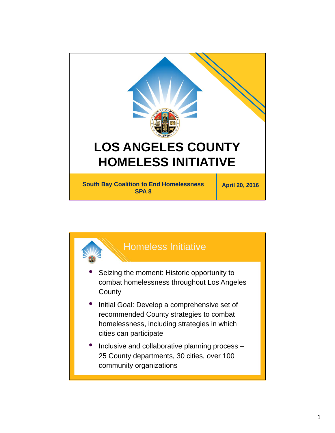

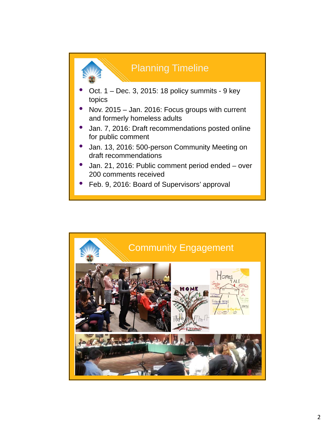

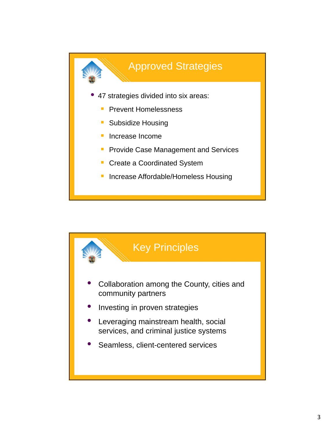

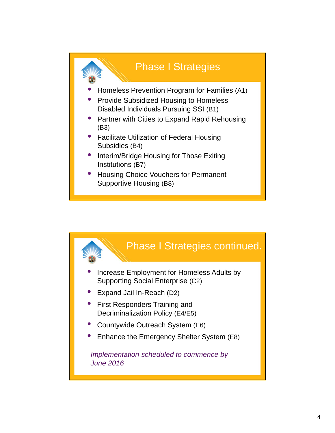

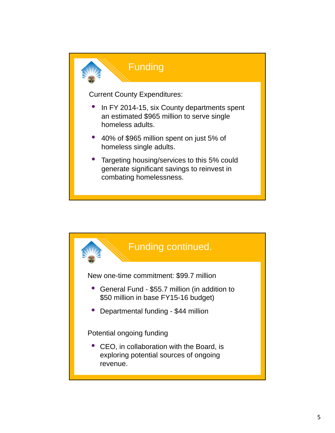

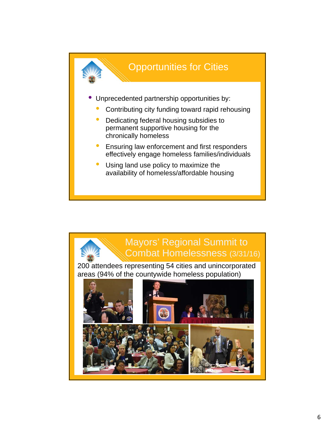